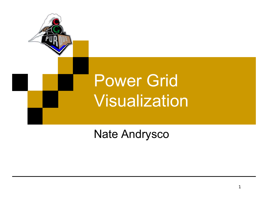

#### Nate Andrysco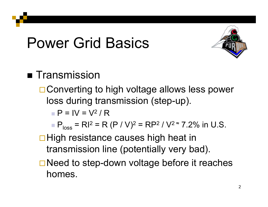

#### ■ Transmission

**□ Converting to high voltage allows less power** loss during transmission (step-up).

 $\blacksquare$  P = IV = V<sup>2</sup> / R

 $P_{\text{loss}} = RI^2 = R (P / V)^2 = RP$  $^2$  / V $^{2}$   $\tilde{=}$  7.2% in U.S.

#### $\Box$  High resistance causes high heat in transmission line (potentially very bad).

**□ Need to step-down voltage before it reaches** homes.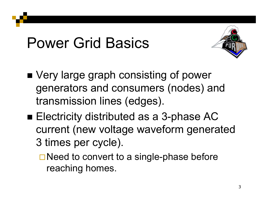

- Very large graph consisting of power generators and consumers (nodes) and transmission lines (edges).
- Electricity distributed as a 3-phase AC current (new voltage waveform generated 3 times per cycle).
	- $\Box$  Need to convert to a single-phase before reaching homes.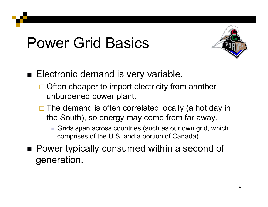

■ Electronic demand is very variable.

- $\Box$  Often cheaper to import electricity from another unburdened power plant.
- $\Box$  The demand is often correlated locally (a hot day in the South), so energy may come from far away.

 Grids span across countries (such as our own grid, which comprises of the U.S. and a portion of Canada)

■ Power typically consumed within a second of generation.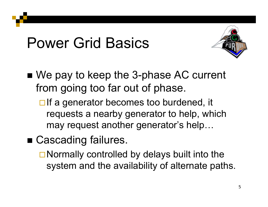

■ We pay to keep the 3-phase AC current from going too far out of phase.

 $\Box$  If a generator becomes too burdened, it requests a nearby generator to help, which may request another generator's help…

■ Cascading failures.

 $\Box$  Normally controlled by delays built into the system and the availability of alternate paths.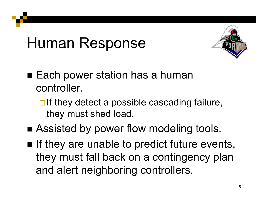## Human Response



- $\blacksquare$  Each power station has a human controller.
	- $\Box$  If they detect a possible cascading failure, they must shed load.
- **Example Assisted by power flow modeling tools.**
- $\blacksquare$  If they are unable to predict future events, they must fall back on a contingency plan and alert neighboring controllers.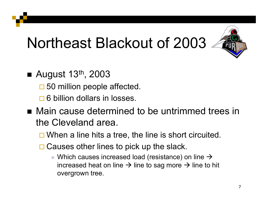# Northeast Blackout of 2003



- August 13<sup>th</sup>, 2003
	- □ 50 million people affected.
	- **□ 6 billion dollars in losses.**
- Main cause determined to be untrimmed trees in the Cleveland area.
	- $\square$  When a line hits a tree, the line is short circuited.
	- **□ Causes other lines to pick up the slack.** 
		- $\blacksquare$  Which causes increased load (resistance) on line  $\rightarrow$ increased heat on line  $\rightarrow$  line to sag more  $\rightarrow$  line to hit overgrown tree.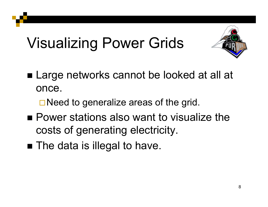# Visualizing Power Grids



- Large networks cannot be looked at all at once.
	- **□ Need to generalize areas of the grid.**
- Power stations also want to visualize the costs of generating electricity.
- $\blacksquare$  The data is illegal to have.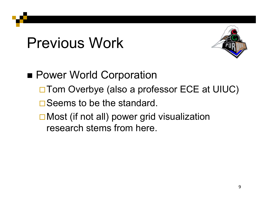## Previous Work



■ Power World Corporation □ Tom Overbye (also a professor ECE at UIUC)  $\square$  Seems to be the standard. **□ Most (if not all) power grid visualization** research stems from here.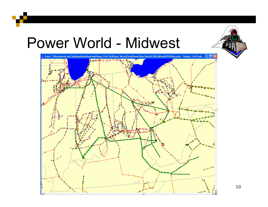#### Power World - Midwest

i i sta





10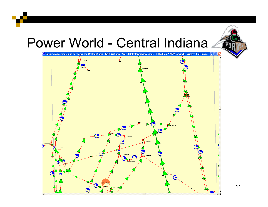#### Power World - Central Indiana

Case: C:\Documents and Settings\Nate\Desktop\Power Grid Vis\Power World Data\PowerView Data\ECARFallPeak99\99ffeq.pwb Display: Fall Peak...  $\boxed{\rule{0.6cm}{0.6cm}}$ ĻE N  $\blacksquare$ 

 $\mathbf{P}$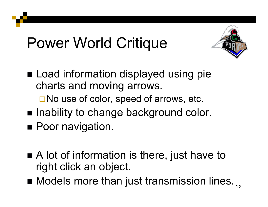# Power World Critique



- Load information displayed using pie charts and moving arrows. □ No use of color, speed of arrows, etc.
- $\blacksquare$  Inability to change background color.
- **Poor navigation.**
- A lot of information is there, just have to right click an object.
- Models more than just transmission lines.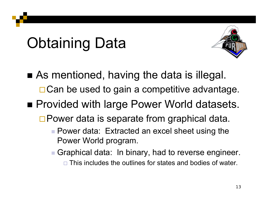# Obtaining Data



- As mentioned, having the data is illegal.  $\Box$  Can be used to gain a competitive advantage.
- Provided with large Power World datasets.
	- □ Power data is separate from graphical data.
		- Power data: Extracted an excel sheet using the Power World program.
		- Graphical data: In binary, had to reverse engineer.
			- $\square$  This includes the outlines for states and bodies of water.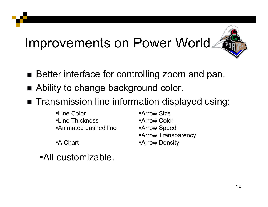#### Improvements on Power World



- Better interface for controlling zoom and pan.
- Ability to change background color.
- Transmission line information displayed using:
	- **-Line Color -Line Thickness** Animated dashed line
	- A Chart
	- All customizable.

**Arrow Size** Arrow ColorArrow Speed **Arrow Transparency** Arrow Density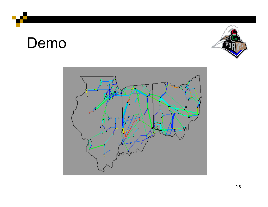#### Demo



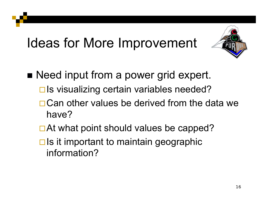#### Ideas for More Improvement



- Need input from a power grid expert.
	- $\Box$  Is visualizing certain variables needed?
	- □ Can other values be derived from the data we have?
	- □ At what point should values be capped?
	- $\Box$  Is it important to maintain geographic information?